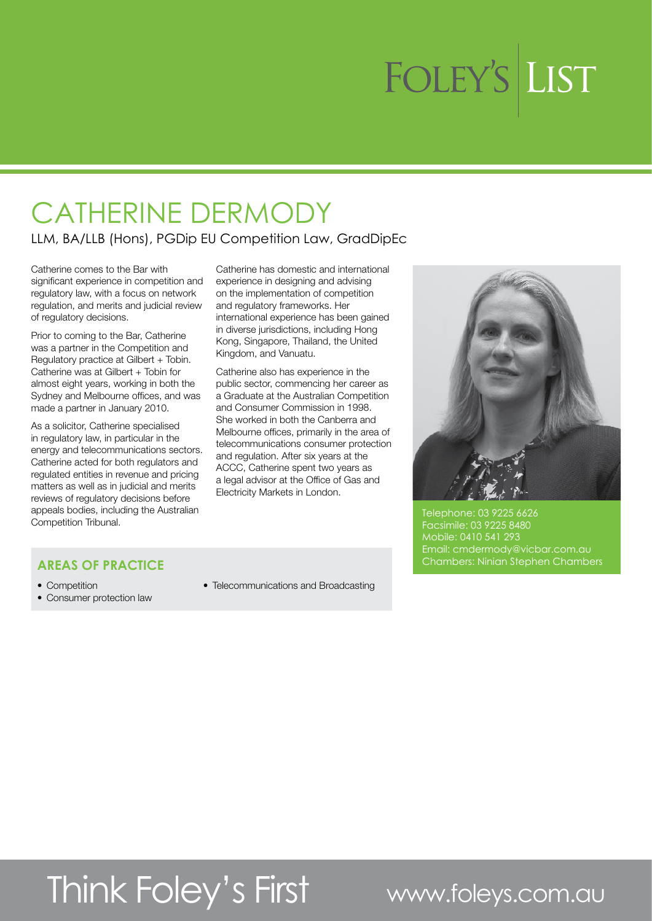# FOLEY'S LIST

### CATHERINE DERMODY

#### LLM, BA/LLB (Hons), PGDip EU Competition Law, GradDipEc

Catherine comes to the Bar with significant experience in competition and regulatory law, with a focus on network regulation, and merits and judicial review of regulatory decisions.

Prior to coming to the Bar, Catherine was a partner in the Competition and Regulatory practice at Gilbert + Tobin. Catherine was at Gilbert + Tobin for almost eight years, working in both the Sydney and Melbourne offices, and was made a partner in January 2010.

As a solicitor, Catherine specialised in regulatory law, in particular in the energy and telecommunications sectors. Catherine acted for both regulators and regulated entities in revenue and pricing matters as well as in judicial and merits reviews of regulatory decisions before appeals bodies, including the Australian Competition Tribunal.

Catherine has domestic and international experience in designing and advising on the implementation of competition and regulatory frameworks. Her international experience has been gained in diverse jurisdictions, including Hong Kong, Singapore, Thailand, the United Kingdom, and Vanuatu.

Catherine also has experience in the public sector, commencing her career as a Graduate at the Australian Competition and Consumer Commission in 1998. She worked in both the Canberra and Melbourne offices, primarily in the area of telecommunications consumer protection and regulation. After six years at the ACCC, Catherine spent two years as a legal advisor at the Office of Gas and Electricity Markets in London.



Telephone: 03 9225 6626 Facsimile: 03 9225 8480 Mobile: 0410 541 293 Email: cmdermody@vicbar.com.au Chambers: Ninian Stephen Chambers

### **AREAS OF PRACTICE**

- Competition
- Consumer protection law

• Telecommunications and Broadcasting